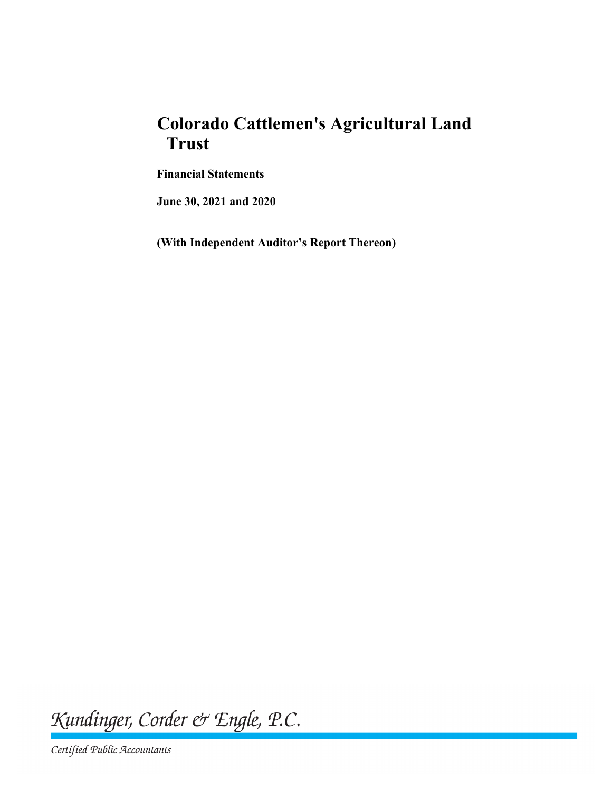# **Colorado Cattlemen's Agricultural Land Trust**

### **Financial Statements**

**June 30, 2021 and 2020**

**(With Independent Auditor's Report Thereon)**

Kundinger, Corder & Engle, P.C.

Certified Public Accountants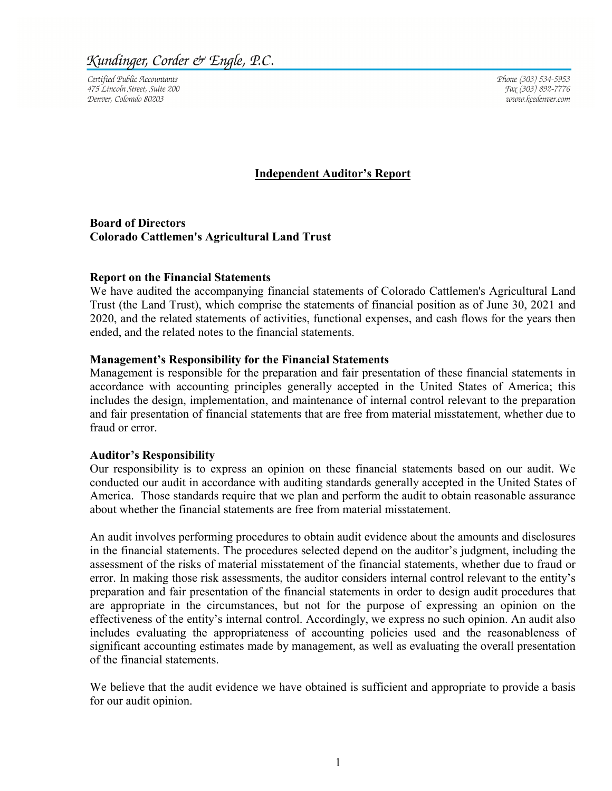Certified Public Accountants 475 Lincoln Street, Suite 200 Denver, Colorado 80203

Phone (303) 534-5953 Fax (303) 892-7776 www.kcedenver.com

### **Independent Auditor's Report**

**Board of Directors Colorado Cattlemen's Agricultural Land Trust**

#### **Report on the Financial Statements**

We have audited the accompanying financial statements of Colorado Cattlemen's Agricultural Land Trust (the Land Trust), which comprise the statements of financial position as of June 30, 2021 and 2020, and the related statements of activities, functional expenses, and cash flows for the years then ended, and the related notes to the financial statements.

#### **Management's Responsibility for the Financial Statements**

Management is responsible for the preparation and fair presentation of these financial statements in accordance with accounting principles generally accepted in the United States of America; this includes the design, implementation, and maintenance of internal control relevant to the preparation and fair presentation of financial statements that are free from material misstatement, whether due to fraud or error.

#### **Auditor's Responsibility**

Our responsibility is to express an opinion on these financial statements based on our audit. We conducted our audit in accordance with auditing standards generally accepted in the United States of America. Those standards require that we plan and perform the audit to obtain reasonable assurance about whether the financial statements are free from material misstatement.

An audit involves performing procedures to obtain audit evidence about the amounts and disclosures in the financial statements. The procedures selected depend on the auditor's judgment, including the assessment of the risks of material misstatement of the financial statements, whether due to fraud or error. In making those risk assessments, the auditor considers internal control relevant to the entity's preparation and fair presentation of the financial statements in order to design audit procedures that are appropriate in the circumstances, but not for the purpose of expressing an opinion on the effectiveness of the entity's internal control. Accordingly, we express no such opinion. An audit also includes evaluating the appropriateness of accounting policies used and the reasonableness of significant accounting estimates made by management, as well as evaluating the overall presentation of the financial statements.

We believe that the audit evidence we have obtained is sufficient and appropriate to provide a basis for our audit opinion.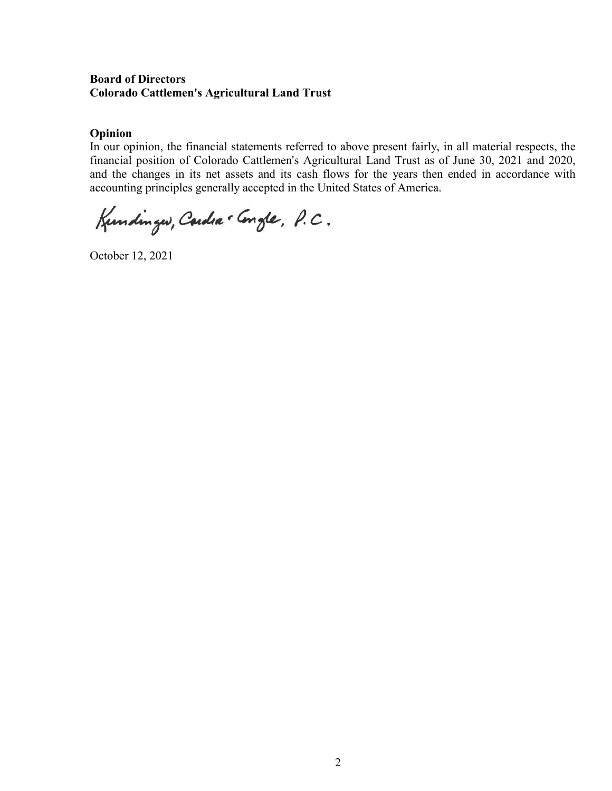#### **Board of Directors Colorado Cattlemen's Agricultural Land Trust**

#### **Opinion**

In our opinion, the financial statements referred to above present fairly, in all material respects, the financial position of Colorado Cattlemen's Agricultural Land Trust as of June 30, 2021 and 2020, and the changes in its net assets and its cash flows for the years then ended in accordance with accounting principles generally accepted in the United States of America.

Kundinger, Cardia . Congle, P.C.

October 12, 2021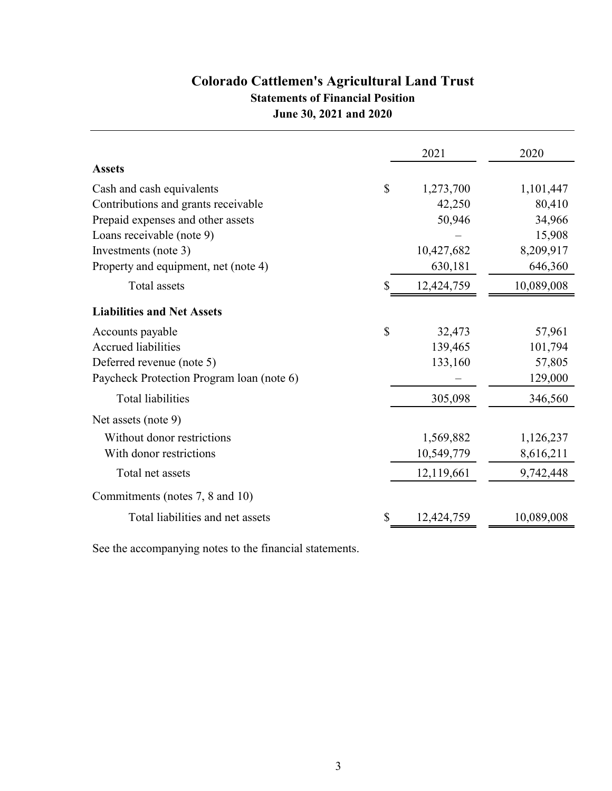## **Colorado Cattlemen's Agricultural Land Trust Statements of Financial Position June 30, 2021 and 2020**

|                                           |              | 2021       | 2020       |
|-------------------------------------------|--------------|------------|------------|
| <b>Assets</b>                             |              |            |            |
| Cash and cash equivalents                 | \$           | 1,273,700  | 1,101,447  |
| Contributions and grants receivable       |              | 42,250     | 80,410     |
| Prepaid expenses and other assets         |              | 50,946     | 34,966     |
| Loans receivable (note 9)                 |              |            | 15,908     |
| Investments (note 3)                      |              | 10,427,682 | 8,209,917  |
| Property and equipment, net (note 4)      |              | 630,181    | 646,360    |
| <b>Total assets</b>                       | S            | 12,424,759 | 10,089,008 |
| <b>Liabilities and Net Assets</b>         |              |            |            |
| Accounts payable                          | $\mathbb{S}$ | 32,473     | 57,961     |
| <b>Accrued liabilities</b>                |              | 139,465    | 101,794    |
| Deferred revenue (note 5)                 |              | 133,160    | 57,805     |
| Paycheck Protection Program loan (note 6) |              |            | 129,000    |
| <b>Total liabilities</b>                  |              | 305,098    | 346,560    |
| Net assets (note 9)                       |              |            |            |
| Without donor restrictions                |              | 1,569,882  | 1,126,237  |
| With donor restrictions                   |              | 10,549,779 | 8,616,211  |
| Total net assets                          |              | 12,119,661 | 9,742,448  |
| Commitments (notes 7, 8 and 10)           |              |            |            |
| Total liabilities and net assets          | \$           | 12,424,759 | 10,089,008 |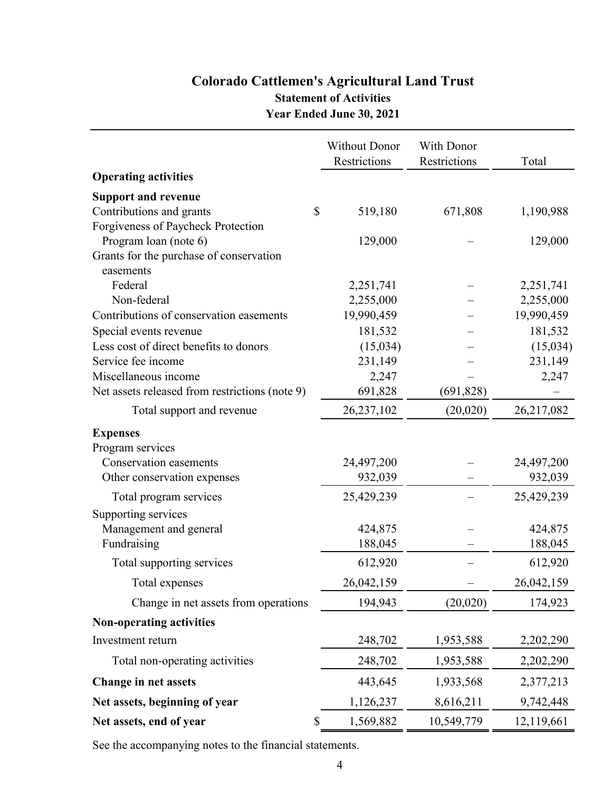## **Colorado Cattlemen's Agricultural Land Trust Statement of Activities Year Ended June 30, 2021**

|                                                |              | <b>Without Donor</b>   | With Donor   |                        |
|------------------------------------------------|--------------|------------------------|--------------|------------------------|
|                                                |              | Restrictions           | Restrictions | Total                  |
| <b>Operating activities</b>                    |              |                        |              |                        |
| <b>Support and revenue</b>                     |              |                        |              |                        |
| Contributions and grants                       | $\mathbb{S}$ | 519,180                | 671,808      | 1,190,988              |
| Forgiveness of Paycheck Protection             |              |                        |              |                        |
| Program loan (note 6)                          |              | 129,000                |              | 129,000                |
| Grants for the purchase of conservation        |              |                        |              |                        |
| easements<br>Federal                           |              |                        |              |                        |
| Non-federal                                    |              | 2,251,741<br>2,255,000 |              | 2,251,741<br>2,255,000 |
| Contributions of conservation easements        |              | 19,990,459             |              | 19,990,459             |
| Special events revenue                         |              | 181,532                |              | 181,532                |
| Less cost of direct benefits to donors         |              | (15,034)               |              | (15,034)               |
| Service fee income                             |              | 231,149                |              | 231,149                |
| Miscellaneous income                           |              | 2,247                  |              | 2,247                  |
| Net assets released from restrictions (note 9) |              | 691,828                | (691, 828)   |                        |
| Total support and revenue                      |              | 26,237,102             | (20, 020)    | 26,217,082             |
| <b>Expenses</b>                                |              |                        |              |                        |
| Program services                               |              |                        |              |                        |
| <b>Conservation easements</b>                  |              | 24,497,200             |              | 24,497,200             |
| Other conservation expenses                    |              | 932,039                |              | 932,039                |
| Total program services                         |              | 25,429,239             |              | 25,429,239             |
| Supporting services                            |              |                        |              |                        |
| Management and general                         |              | 424,875                |              | 424,875                |
| Fundraising                                    |              | 188,045                |              | 188,045                |
| Total supporting services                      |              | 612,920                |              | 612,920                |
| Total expenses                                 |              | 26,042,159             |              | 26,042,159             |
| Change in net assets from operations           |              | 194,943                | (20,020)     | 174,923                |
| <b>Non-operating activities</b>                |              |                        |              |                        |
| Investment return                              |              | 248,702                | 1,953,588    | 2,202,290              |
| Total non-operating activities                 |              | 248,702                | 1,953,588    | 2,202,290              |
| <b>Change in net assets</b>                    |              | 443,645                | 1,933,568    | 2,377,213              |
| Net assets, beginning of year                  |              | 1,126,237              | 8,616,211    | 9,742,448              |
| Net assets, end of year                        | \$           | 1,569,882              | 10,549,779   | 12,119,661             |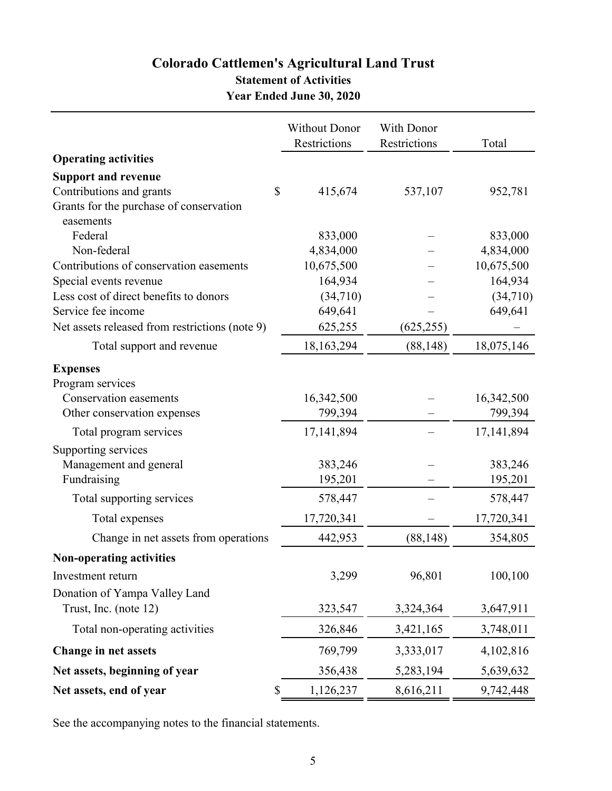## **Colorado Cattlemen's Agricultural Land Trust Statement of Activities**

**Year Ended June 30, 2020**

|                                                | <b>Without Donor</b> | With Donor   |            |
|------------------------------------------------|----------------------|--------------|------------|
|                                                | Restrictions         | Restrictions | Total      |
| <b>Operating activities</b>                    |                      |              |            |
| <b>Support and revenue</b>                     |                      |              |            |
| Contributions and grants                       | \$<br>415,674        | 537,107      | 952,781    |
| Grants for the purchase of conservation        |                      |              |            |
| easements                                      |                      |              |            |
| Federal                                        | 833,000              |              | 833,000    |
| Non-federal                                    | 4,834,000            |              | 4,834,000  |
| Contributions of conservation easements        | 10,675,500           |              | 10,675,500 |
| Special events revenue                         | 164,934              |              | 164,934    |
| Less cost of direct benefits to donors         | (34,710)             |              | (34,710)   |
| Service fee income                             | 649,641              |              | 649,641    |
| Net assets released from restrictions (note 9) | 625,255              | (625, 255)   |            |
| Total support and revenue                      | 18,163,294           | (88, 148)    | 18,075,146 |
| <b>Expenses</b>                                |                      |              |            |
| Program services                               |                      |              |            |
| Conservation easements                         | 16,342,500           |              | 16,342,500 |
| Other conservation expenses                    | 799,394              |              | 799,394    |
| Total program services                         | 17,141,894           |              | 17,141,894 |
| Supporting services                            |                      |              |            |
| Management and general                         | 383,246              |              | 383,246    |
| Fundraising                                    | 195,201              |              | 195,201    |
| Total supporting services                      | 578,447              |              | 578,447    |
| Total expenses                                 | 17,720,341           |              | 17,720,341 |
| Change in net assets from operations           | 442,953              | (88, 148)    | 354,805    |
| <b>Non-operating activities</b>                |                      |              |            |
| Investment return                              | 3,299                | 96,801       | 100,100    |
| Donation of Yampa Valley Land                  |                      |              |            |
| Trust, Inc. (note 12)                          | 323,547              | 3,324,364    | 3,647,911  |
| Total non-operating activities                 | 326,846              | 3,421,165    | 3,748,011  |
| <b>Change in net assets</b>                    | 769,799              | 3,333,017    | 4,102,816  |
| Net assets, beginning of year                  | 356,438              | 5,283,194    | 5,639,632  |
| Net assets, end of year                        | \$<br>1,126,237      | 8,616,211    | 9,742,448  |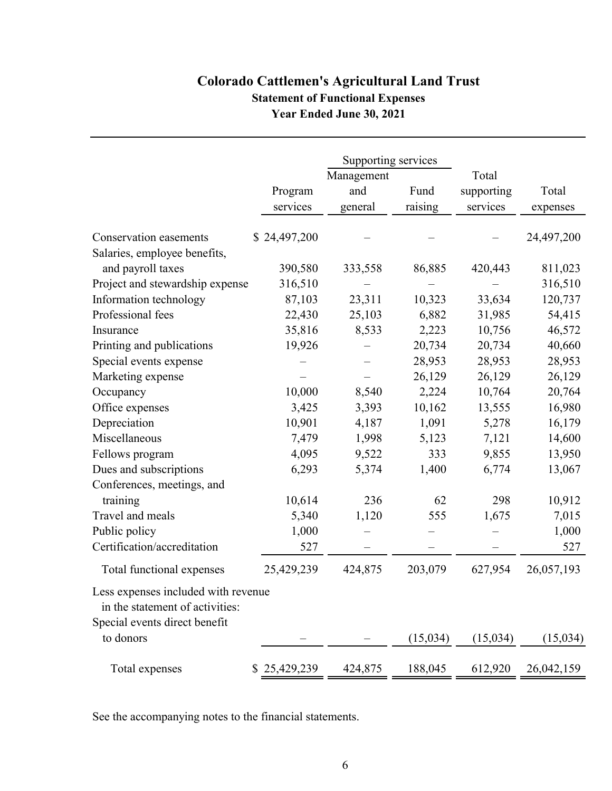## **Colorado Cattlemen's Agricultural Land Trust Statement of Functional Expenses Year Ended June 30, 2021**

|                                                                        | Program<br>services | Supporting services<br>Management<br>and<br>general | Fund<br>raising | Total<br>supporting<br>services | Total<br>expenses |
|------------------------------------------------------------------------|---------------------|-----------------------------------------------------|-----------------|---------------------------------|-------------------|
|                                                                        |                     |                                                     |                 |                                 |                   |
| Conservation easements                                                 | \$24,497,200        |                                                     |                 |                                 | 24,497,200        |
| Salaries, employee benefits,                                           |                     |                                                     |                 |                                 |                   |
| and payroll taxes                                                      | 390,580             | 333,558                                             | 86,885          | 420,443                         | 811,023           |
| Project and stewardship expense                                        | 316,510             |                                                     |                 |                                 | 316,510           |
| Information technology                                                 | 87,103              | 23,311                                              | 10,323          | 33,634                          | 120,737           |
| Professional fees                                                      | 22,430              | 25,103                                              | 6,882           | 31,985                          | 54,415            |
| Insurance                                                              | 35,816              | 8,533                                               | 2,223           | 10,756                          | 46,572            |
| Printing and publications                                              | 19,926              |                                                     | 20,734          | 20,734                          | 40,660            |
| Special events expense                                                 |                     |                                                     | 28,953          | 28,953                          | 28,953            |
| Marketing expense                                                      |                     |                                                     | 26,129          | 26,129                          | 26,129            |
| Occupancy                                                              | 10,000              | 8,540                                               | 2,224           | 10,764                          | 20,764            |
| Office expenses                                                        | 3,425               | 3,393                                               | 10,162          | 13,555                          | 16,980            |
| Depreciation                                                           | 10,901              | 4,187                                               | 1,091           | 5,278                           | 16,179            |
| Miscellaneous                                                          | 7,479               | 1,998                                               | 5,123           | 7,121                           | 14,600            |
| Fellows program                                                        | 4,095               | 9,522                                               | 333             | 9,855                           | 13,950            |
| Dues and subscriptions                                                 | 6,293               | 5,374                                               | 1,400           | 6,774                           | 13,067            |
| Conferences, meetings, and                                             |                     |                                                     |                 |                                 |                   |
| training                                                               | 10,614              | 236                                                 | 62              | 298                             | 10,912            |
| Travel and meals                                                       | 5,340               | 1,120                                               | 555             | 1,675                           | 7,015             |
| Public policy                                                          | 1,000               |                                                     |                 |                                 | 1,000             |
| Certification/accreditation                                            | 527                 |                                                     |                 |                                 | 527               |
| Total functional expenses                                              | 25,429,239          | 424,875                                             | 203,079         | 627,954                         | 26,057,193        |
| Less expenses included with revenue<br>in the statement of activities: |                     |                                                     |                 |                                 |                   |
| Special events direct benefit                                          |                     |                                                     |                 |                                 |                   |
| to donors                                                              |                     |                                                     | (15,034)        | (15,034)                        | (15,034)          |
| Total expenses                                                         | \$25,429,239        | 424,875                                             | 188,045         | 612,920                         | 26,042,159        |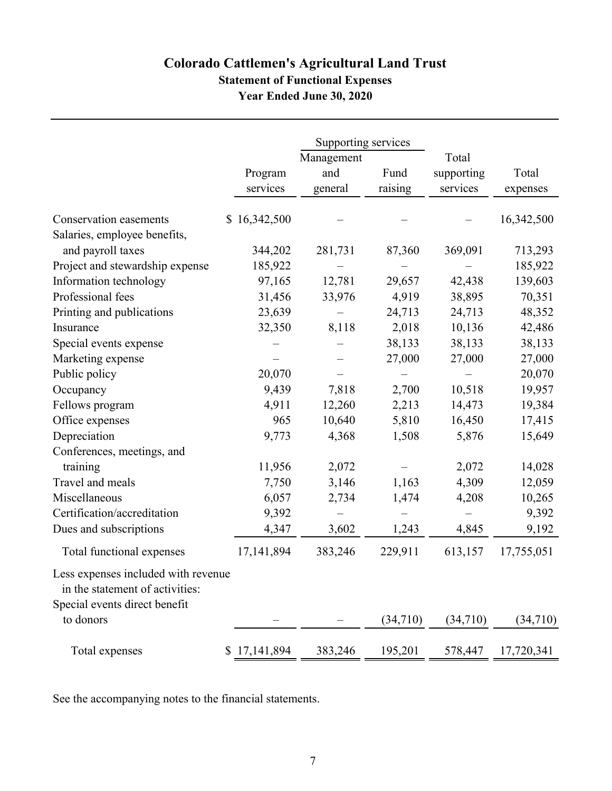## **Colorado Cattlemen's Agricultural Land Trust Statement of Functional Expenses Year Ended June 30, 2020**

|                                                                        |              | Supporting services<br>Management |          | Total      |            |
|------------------------------------------------------------------------|--------------|-----------------------------------|----------|------------|------------|
|                                                                        | Program      | and                               | Fund     | supporting | Total      |
|                                                                        | services     | general                           | raising  | services   | expenses   |
| Conservation easements                                                 | \$16,342,500 |                                   |          |            | 16,342,500 |
| Salaries, employee benefits,                                           |              |                                   |          |            |            |
| and payroll taxes                                                      | 344,202      | 281,731                           | 87,360   | 369,091    | 713,293    |
| Project and stewardship expense                                        | 185,922      |                                   |          |            | 185,922    |
| Information technology                                                 | 97,165       | 12,781                            | 29,657   | 42,438     | 139,603    |
| Professional fees                                                      | 31,456       | 33,976                            | 4,919    | 38,895     | 70,351     |
| Printing and publications                                              | 23,639       |                                   | 24,713   | 24,713     | 48,352     |
| Insurance                                                              | 32,350       | 8,118                             | 2,018    | 10,136     | 42,486     |
| Special events expense                                                 |              |                                   | 38,133   | 38,133     | 38,133     |
| Marketing expense                                                      |              |                                   | 27,000   | 27,000     | 27,000     |
| Public policy                                                          | 20,070       |                                   |          |            | 20,070     |
| Occupancy                                                              | 9,439        | 7,818                             | 2,700    | 10,518     | 19,957     |
| Fellows program                                                        | 4,911        | 12,260                            | 2,213    | 14,473     | 19,384     |
| Office expenses                                                        | 965          | 10,640                            | 5,810    | 16,450     | 17,415     |
| Depreciation                                                           | 9,773        | 4,368                             | 1,508    | 5,876      | 15,649     |
| Conferences, meetings, and                                             |              |                                   |          |            |            |
| training                                                               | 11,956       | 2,072                             |          | 2,072      | 14,028     |
| Travel and meals                                                       | 7,750        | 3,146                             | 1,163    | 4,309      | 12,059     |
| Miscellaneous                                                          | 6,057        | 2,734                             | 1,474    | 4,208      | 10,265     |
| Certification/accreditation                                            | 9,392        |                                   |          |            | 9,392      |
| Dues and subscriptions                                                 | 4,347        | 3,602                             | 1,243    | 4,845      | 9,192      |
| Total functional expenses                                              | 17,141,894   | 383,246                           | 229,911  | 613,157    | 17,755,051 |
| Less expenses included with revenue<br>in the statement of activities: |              |                                   |          |            |            |
| Special events direct benefit                                          |              |                                   |          |            |            |
| to donors                                                              |              |                                   | (34,710) | (34,710)   | (34,710)   |
| Total expenses                                                         | \$17,141,894 | 383,246                           | 195,201  | 578,447    | 17,720,341 |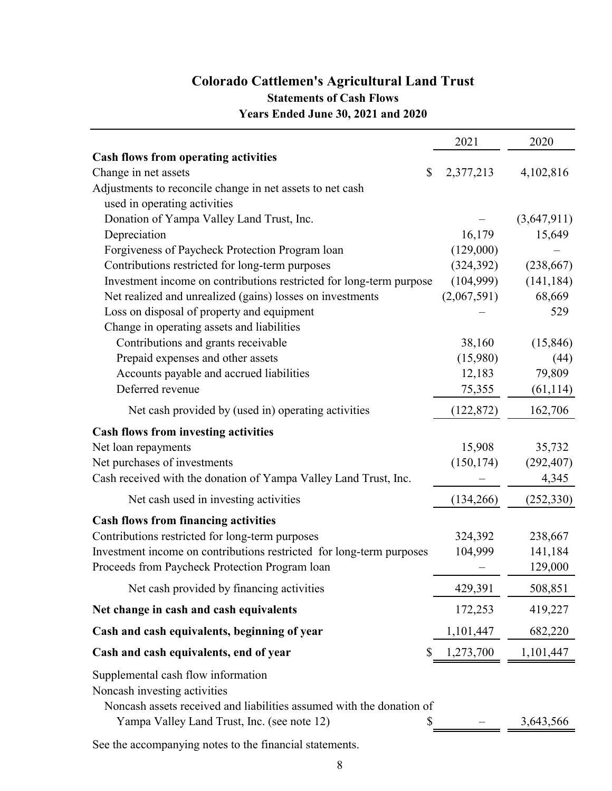## **Colorado Cattlemen's Agricultural Land Trust Statements of Cash Flows Years Ended June 30, 2021 and 2020**

|                                                                                                                                            | 2021        | 2020        |
|--------------------------------------------------------------------------------------------------------------------------------------------|-------------|-------------|
| <b>Cash flows from operating activities</b>                                                                                                |             |             |
| \$<br>Change in net assets                                                                                                                 | 2,377,213   | 4,102,816   |
| Adjustments to reconcile change in net assets to net cash                                                                                  |             |             |
| used in operating activities                                                                                                               |             |             |
| Donation of Yampa Valley Land Trust, Inc.                                                                                                  |             | (3,647,911) |
| Depreciation                                                                                                                               | 16,179      | 15,649      |
| Forgiveness of Paycheck Protection Program loan                                                                                            | (129,000)   |             |
| Contributions restricted for long-term purposes                                                                                            | (324, 392)  | (238, 667)  |
| Investment income on contributions restricted for long-term purpose                                                                        | (104, 999)  | (141, 184)  |
| Net realized and unrealized (gains) losses on investments                                                                                  | (2,067,591) | 68,669      |
| Loss on disposal of property and equipment                                                                                                 |             | 529         |
| Change in operating assets and liabilities                                                                                                 |             |             |
| Contributions and grants receivable                                                                                                        | 38,160      | (15, 846)   |
| Prepaid expenses and other assets                                                                                                          | (15,980)    | (44)        |
| Accounts payable and accrued liabilities                                                                                                   | 12,183      | 79,809      |
| Deferred revenue                                                                                                                           | 75,355      | (61, 114)   |
| Net cash provided by (used in) operating activities                                                                                        | (122, 872)  | 162,706     |
| <b>Cash flows from investing activities</b>                                                                                                |             |             |
| Net loan repayments                                                                                                                        | 15,908      | 35,732      |
| Net purchases of investments                                                                                                               | (150, 174)  | (292, 407)  |
| Cash received with the donation of Yampa Valley Land Trust, Inc.                                                                           |             | 4,345       |
| Net cash used in investing activities                                                                                                      | (134, 266)  | (252, 330)  |
| <b>Cash flows from financing activities</b>                                                                                                |             |             |
| Contributions restricted for long-term purposes                                                                                            | 324,392     | 238,667     |
| Investment income on contributions restricted for long-term purposes                                                                       | 104,999     | 141,184     |
| Proceeds from Paycheck Protection Program loan                                                                                             |             | 129,000     |
| Net cash provided by financing activities                                                                                                  | 429,391     | 508,851     |
| Net change in cash and cash equivalents                                                                                                    | 172,253     | 419,227     |
| Cash and cash equivalents, beginning of year                                                                                               | 1,101,447   | 682,220     |
| Cash and cash equivalents, end of year<br>S                                                                                                | 1,273,700   | 1,101,447   |
| Supplemental cash flow information<br>Noncash investing activities<br>Noncash assets received and liabilities assumed with the donation of |             |             |
| Yampa Valley Land Trust, Inc. (see note 12)<br>\$                                                                                          |             | 3,643,566   |
| See the accompanying notes to the financial statements.                                                                                    |             |             |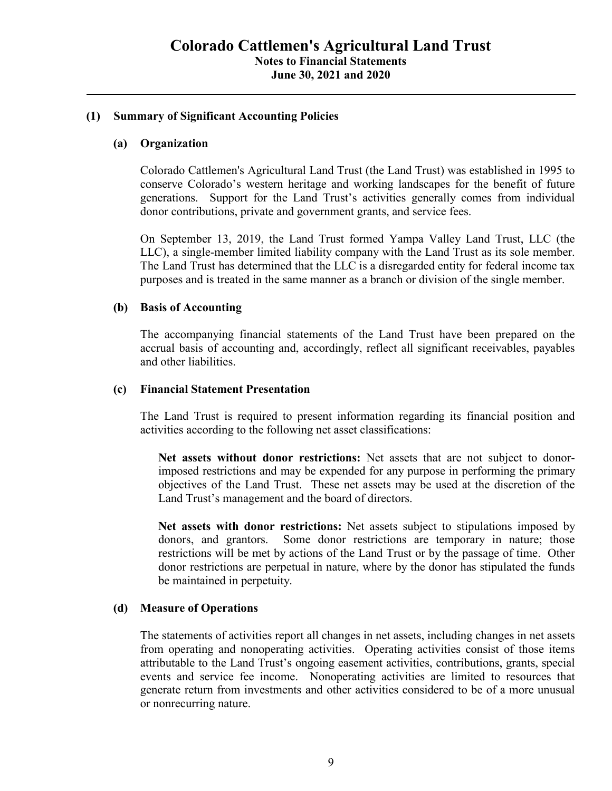#### **(1) Summary of Significant Accounting Policies**

#### **(a) Organization**

Colorado Cattlemen's Agricultural Land Trust (the Land Trust) was established in 1995 to conserve Colorado's western heritage and working landscapes for the benefit of future generations. Support for the Land Trust's activities generally comes from individual donor contributions, private and government grants, and service fees.

On September 13, 2019, the Land Trust formed Yampa Valley Land Trust, LLC (the LLC), a single-member limited liability company with the Land Trust as its sole member. The Land Trust has determined that the LLC is a disregarded entity for federal income tax purposes and is treated in the same manner as a branch or division of the single member.

#### **(b) Basis of Accounting**

The accompanying financial statements of the Land Trust have been prepared on the accrual basis of accounting and, accordingly, reflect all significant receivables, payables and other liabilities.

#### **(c) Financial Statement Presentation**

The Land Trust is required to present information regarding its financial position and activities according to the following net asset classifications:

**Net assets without donor restrictions:** Net assets that are not subject to donorimposed restrictions and may be expended for any purpose in performing the primary objectives of the Land Trust. These net assets may be used at the discretion of the Land Trust's management and the board of directors.

**Net assets with donor restrictions:** Net assets subject to stipulations imposed by donors, and grantors. Some donor restrictions are temporary in nature; those restrictions will be met by actions of the Land Trust or by the passage of time. Other donor restrictions are perpetual in nature, where by the donor has stipulated the funds be maintained in perpetuity.

#### **(d) Measure of Operations**

The statements of activities report all changes in net assets, including changes in net assets from operating and nonoperating activities. Operating activities consist of those items attributable to the Land Trust's ongoing easement activities, contributions, grants, special events and service fee income. Nonoperating activities are limited to resources that generate return from investments and other activities considered to be of a more unusual or nonrecurring nature.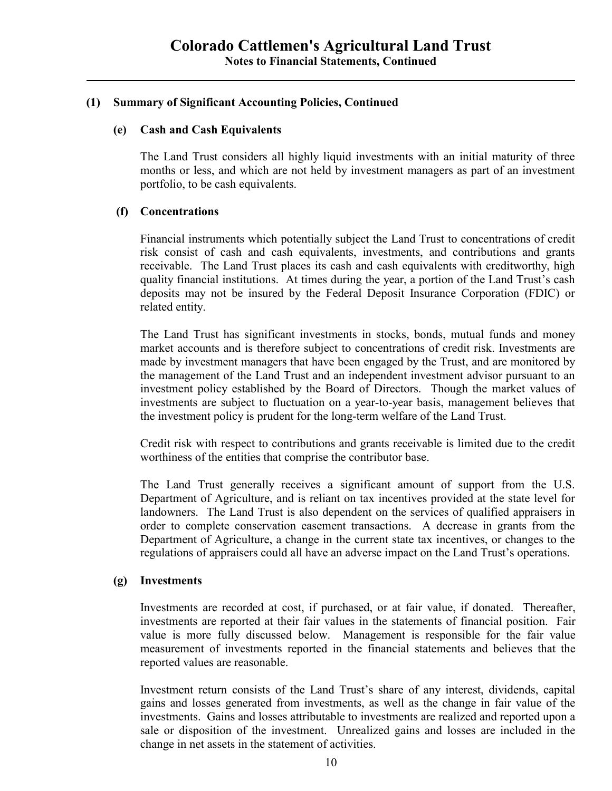#### **(e) Cash and Cash Equivalents**

The Land Trust considers all highly liquid investments with an initial maturity of three months or less, and which are not held by investment managers as part of an investment portfolio, to be cash equivalents.

#### **(f) Concentrations**

Financial instruments which potentially subject the Land Trust to concentrations of credit risk consist of cash and cash equivalents, investments, and contributions and grants receivable. The Land Trust places its cash and cash equivalents with creditworthy, high quality financial institutions. At times during the year, a portion of the Land Trust's cash deposits may not be insured by the Federal Deposit Insurance Corporation (FDIC) or related entity.

The Land Trust has significant investments in stocks, bonds, mutual funds and money market accounts and is therefore subject to concentrations of credit risk. Investments are made by investment managers that have been engaged by the Trust, and are monitored by the management of the Land Trust and an independent investment advisor pursuant to an investment policy established by the Board of Directors. Though the market values of investments are subject to fluctuation on a year-to-year basis, management believes that the investment policy is prudent for the long-term welfare of the Land Trust.

Credit risk with respect to contributions and grants receivable is limited due to the credit worthiness of the entities that comprise the contributor base.

The Land Trust generally receives a significant amount of support from the U.S. Department of Agriculture, and is reliant on tax incentives provided at the state level for landowners. The Land Trust is also dependent on the services of qualified appraisers in order to complete conservation easement transactions. A decrease in grants from the Department of Agriculture, a change in the current state tax incentives, or changes to the regulations of appraisers could all have an adverse impact on the Land Trust's operations.

#### **(g) Investments**

Investments are recorded at cost, if purchased, or at fair value, if donated. Thereafter, investments are reported at their fair values in the statements of financial position. Fair value is more fully discussed below. Management is responsible for the fair value measurement of investments reported in the financial statements and believes that the reported values are reasonable.

Investment return consists of the Land Trust's share of any interest, dividends, capital gains and losses generated from investments, as well as the change in fair value of the investments. Gains and losses attributable to investments are realized and reported upon a sale or disposition of the investment. Unrealized gains and losses are included in the change in net assets in the statement of activities.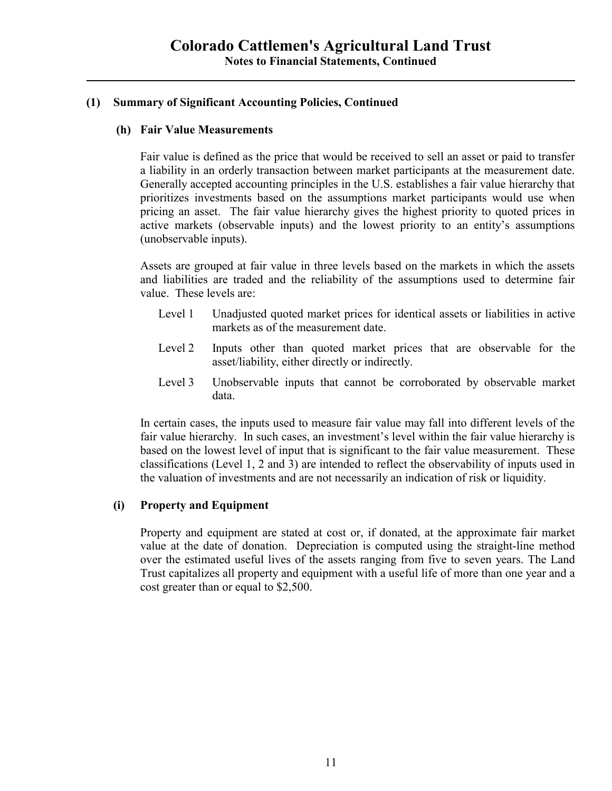#### **(h) Fair Value Measurements**

Fair value is defined as the price that would be received to sell an asset or paid to transfer a liability in an orderly transaction between market participants at the measurement date. Generally accepted accounting principles in the U.S. establishes a fair value hierarchy that prioritizes investments based on the assumptions market participants would use when pricing an asset. The fair value hierarchy gives the highest priority to quoted prices in active markets (observable inputs) and the lowest priority to an entity's assumptions (unobservable inputs).

Assets are grouped at fair value in three levels based on the markets in which the assets and liabilities are traded and the reliability of the assumptions used to determine fair value. These levels are:

- Level 1 Unadjusted quoted market prices for identical assets or liabilities in active markets as of the measurement date.
- Level 2 Inputs other than quoted market prices that are observable for the asset/liability, either directly or indirectly.
- Level 3 Unobservable inputs that cannot be corroborated by observable market data.

In certain cases, the inputs used to measure fair value may fall into different levels of the fair value hierarchy. In such cases, an investment's level within the fair value hierarchy is based on the lowest level of input that is significant to the fair value measurement. These classifications (Level 1, 2 and 3) are intended to reflect the observability of inputs used in the valuation of investments and are not necessarily an indication of risk or liquidity.

### **(i) Property and Equipment**

Property and equipment are stated at cost or, if donated, at the approximate fair market value at the date of donation. Depreciation is computed using the straight-line method over the estimated useful lives of the assets ranging from five to seven years. The Land Trust capitalizes all property and equipment with a useful life of more than one year and a cost greater than or equal to \$2,500.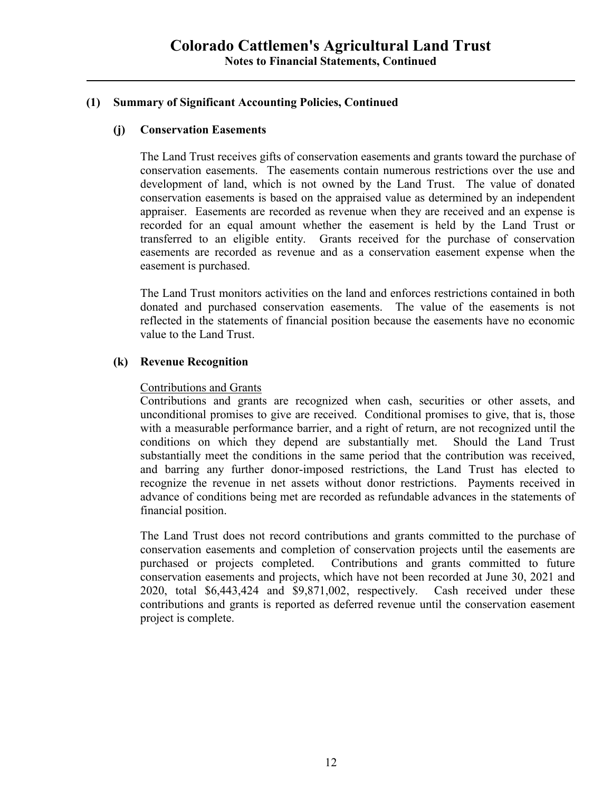#### **(j) Conservation Easements**

The Land Trust receives gifts of conservation easements and grants toward the purchase of conservation easements. The easements contain numerous restrictions over the use and development of land, which is not owned by the Land Trust. The value of donated conservation easements is based on the appraised value as determined by an independent appraiser. Easements are recorded as revenue when they are received and an expense is recorded for an equal amount whether the easement is held by the Land Trust or transferred to an eligible entity. Grants received for the purchase of conservation easements are recorded as revenue and as a conservation easement expense when the easement is purchased.

The Land Trust monitors activities on the land and enforces restrictions contained in both donated and purchased conservation easements. The value of the easements is not reflected in the statements of financial position because the easements have no economic value to the Land Trust.

### **(k) Revenue Recognition**

#### Contributions and Grants

Contributions and grants are recognized when cash, securities or other assets, and unconditional promises to give are received. Conditional promises to give, that is, those with a measurable performance barrier, and a right of return, are not recognized until the conditions on which they depend are substantially met. Should the Land Trust substantially meet the conditions in the same period that the contribution was received, and barring any further donor-imposed restrictions, the Land Trust has elected to recognize the revenue in net assets without donor restrictions. Payments received in advance of conditions being met are recorded as refundable advances in the statements of financial position.

The Land Trust does not record contributions and grants committed to the purchase of conservation easements and completion of conservation projects until the easements are purchased or projects completed. Contributions and grants committed to future conservation easements and projects, which have not been recorded at June 30, 2021 and 2020, total \$6,443,424 and \$9,871,002, respectively. Cash received under these contributions and grants is reported as deferred revenue until the conservation easement project is complete.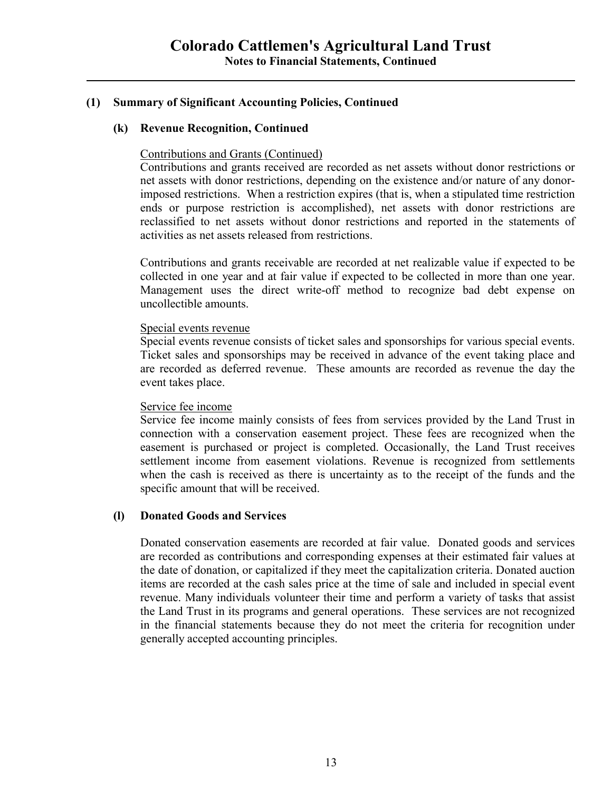#### **(k) Revenue Recognition, Continued**

#### Contributions and Grants (Continued)

Contributions and grants received are recorded as net assets without donor restrictions or net assets with donor restrictions, depending on the existence and/or nature of any donorimposed restrictions. When a restriction expires (that is, when a stipulated time restriction ends or purpose restriction is accomplished), net assets with donor restrictions are reclassified to net assets without donor restrictions and reported in the statements of activities as net assets released from restrictions.

Contributions and grants receivable are recorded at net realizable value if expected to be collected in one year and at fair value if expected to be collected in more than one year. Management uses the direct write-off method to recognize bad debt expense on uncollectible amounts.

#### Special events revenue

Special events revenue consists of ticket sales and sponsorships for various special events. Ticket sales and sponsorships may be received in advance of the event taking place and are recorded as deferred revenue. These amounts are recorded as revenue the day the event takes place.

#### Service fee income

Service fee income mainly consists of fees from services provided by the Land Trust in connection with a conservation easement project. These fees are recognized when the easement is purchased or project is completed. Occasionally, the Land Trust receives settlement income from easement violations. Revenue is recognized from settlements when the cash is received as there is uncertainty as to the receipt of the funds and the specific amount that will be received.

### **(l) Donated Goods and Services**

Donated conservation easements are recorded at fair value. Donated goods and services are recorded as contributions and corresponding expenses at their estimated fair values at the date of donation, or capitalized if they meet the capitalization criteria. Donated auction items are recorded at the cash sales price at the time of sale and included in special event revenue. Many individuals volunteer their time and perform a variety of tasks that assist the Land Trust in its programs and general operations. These services are not recognized in the financial statements because they do not meet the criteria for recognition under generally accepted accounting principles.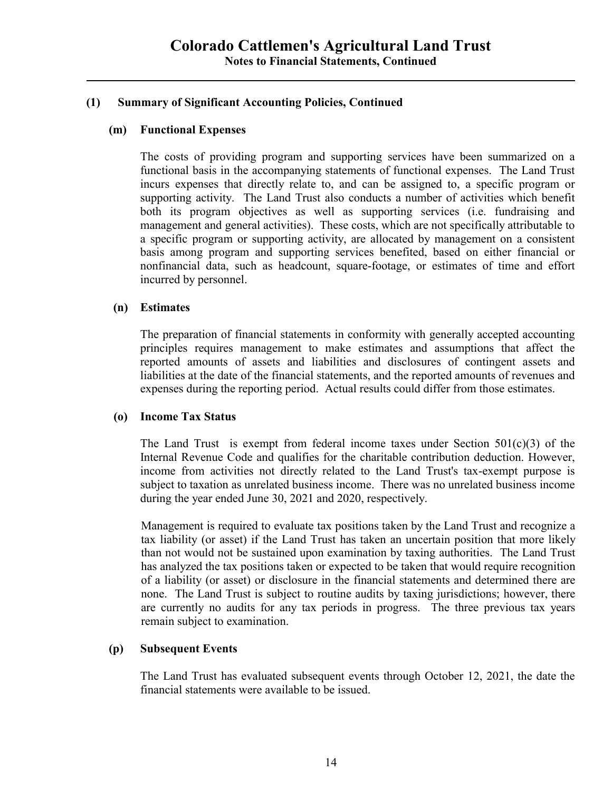#### **(m) Functional Expenses**

The costs of providing program and supporting services have been summarized on a functional basis in the accompanying statements of functional expenses. The Land Trust incurs expenses that directly relate to, and can be assigned to, a specific program or supporting activity. The Land Trust also conducts a number of activities which benefit both its program objectives as well as supporting services (i.e. fundraising and management and general activities). These costs, which are not specifically attributable to a specific program or supporting activity, are allocated by management on a consistent basis among program and supporting services benefited, based on either financial or nonfinancial data, such as headcount, square-footage, or estimates of time and effort incurred by personnel.

#### **(n) Estimates**

The preparation of financial statements in conformity with generally accepted accounting principles requires management to make estimates and assumptions that affect the reported amounts of assets and liabilities and disclosures of contingent assets and liabilities at the date of the financial statements, and the reported amounts of revenues and expenses during the reporting period. Actual results could differ from those estimates.

#### **(o) Income Tax Status**

The Land Trust is exempt from federal income taxes under Section  $501(c)(3)$  of the Internal Revenue Code and qualifies for the charitable contribution deduction. However, income from activities not directly related to the Land Trust's tax-exempt purpose is subject to taxation as unrelated business income. There was no unrelated business income during the year ended June 30, 2021 and 2020, respectively.

Management is required to evaluate tax positions taken by the Land Trust and recognize a tax liability (or asset) if the Land Trust has taken an uncertain position that more likely than not would not be sustained upon examination by taxing authorities. The Land Trust has analyzed the tax positions taken or expected to be taken that would require recognition of a liability (or asset) or disclosure in the financial statements and determined there are none. The Land Trust is subject to routine audits by taxing jurisdictions; however, there are currently no audits for any tax periods in progress. The three previous tax years remain subject to examination.

#### **(p) Subsequent Events**

The Land Trust has evaluated subsequent events through October 12, 2021, the date the financial statements were available to be issued.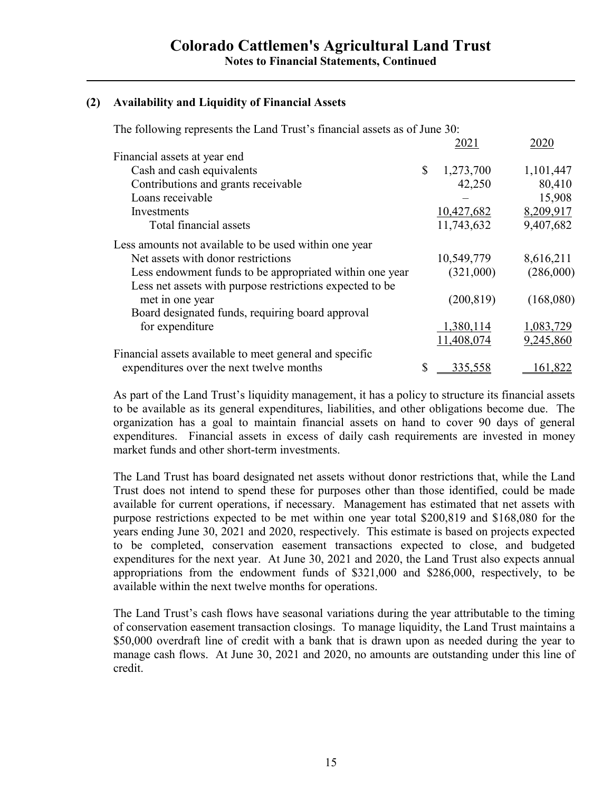### **(2) Availability and Liquidity of Financial Assets**

The following represents the Land Trust's financial assets as of June 30:

|    | 2021       | 2020      |
|----|------------|-----------|
|    |            |           |
| \$ | 1,273,700  | 1,101,447 |
|    | 42,250     | 80,410    |
|    |            | 15,908    |
|    | 10,427,682 | 8,209,917 |
|    | 11,743,632 | 9,407,682 |
|    |            |           |
|    | 10,549,779 | 8,616,211 |
|    | (321,000)  | (286,000) |
|    |            |           |
|    | (200, 819) | (168,080) |
|    |            |           |
|    | 1,380,114  | 1,083,729 |
|    | 11,408,074 | 9,245,860 |
|    |            |           |
| S  | 335,558    | 161,822   |
|    |            |           |

As part of the Land Trust's liquidity management, it has a policy to structure its financial assets to be available as its general expenditures, liabilities, and other obligations become due. The organization has a goal to maintain financial assets on hand to cover 90 days of general expenditures. Financial assets in excess of daily cash requirements are invested in money market funds and other short-term investments.

The Land Trust has board designated net assets without donor restrictions that, while the Land Trust does not intend to spend these for purposes other than those identified, could be made available for current operations, if necessary. Management has estimated that net assets with purpose restrictions expected to be met within one year total \$200,819 and \$168,080 for the years ending June 30, 2021 and 2020, respectively. This estimate is based on projects expected to be completed, conservation easement transactions expected to close, and budgeted expenditures for the next year. At June 30, 2021 and 2020, the Land Trust also expects annual appropriations from the endowment funds of \$321,000 and \$286,000, respectively, to be available within the next twelve months for operations.

The Land Trust's cash flows have seasonal variations during the year attributable to the timing of conservation easement transaction closings. To manage liquidity, the Land Trust maintains a \$50,000 overdraft line of credit with a bank that is drawn upon as needed during the year to manage cash flows. At June 30, 2021 and 2020, no amounts are outstanding under this line of credit.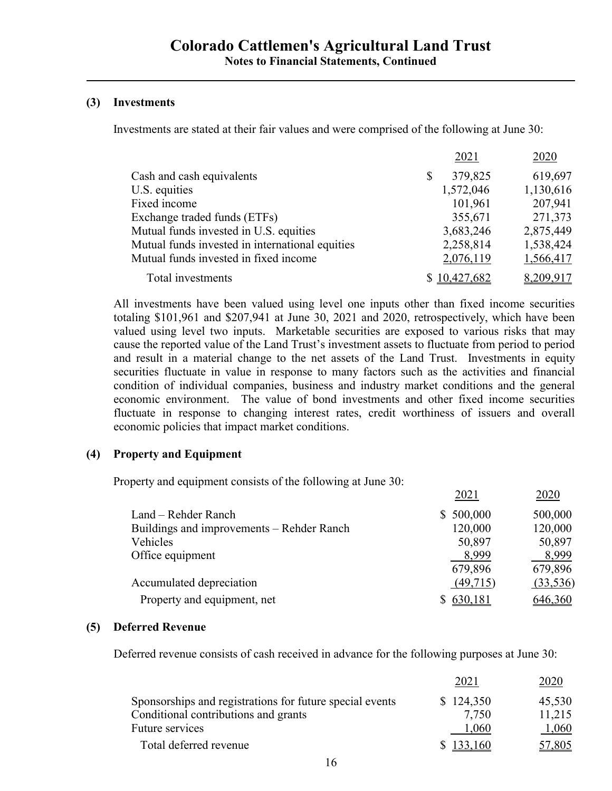### **(3) Investments**

Investments are stated at their fair values and were comprised of the following at June 30:

|                                                 | 2021         | 2020      |
|-------------------------------------------------|--------------|-----------|
| Cash and cash equivalents                       | 379,825<br>S | 619,697   |
| U.S. equities                                   | 1,572,046    | 1,130,616 |
| Fixed income                                    | 101,961      | 207,941   |
| Exchange traded funds (ETFs)                    | 355,671      | 271,373   |
| Mutual funds invested in U.S. equities          | 3,683,246    | 2,875,449 |
| Mutual funds invested in international equities | 2,258,814    | 1,538,424 |
| Mutual funds invested in fixed income           | 2,076,119    | 1,566,417 |
| Total investments                               | \$10,427,682 | 8,209,917 |

All investments have been valued using level one inputs other than fixed income securities totaling \$101,961 and \$207,941 at June 30, 2021 and 2020, retrospectively, which have been valued using level two inputs. Marketable securities are exposed to various risks that may cause the reported value of the Land Trust's investment assets to fluctuate from period to period and result in a material change to the net assets of the Land Trust. Investments in equity securities fluctuate in value in response to many factors such as the activities and financial condition of individual companies, business and industry market conditions and the general economic environment. The value of bond investments and other fixed income securities fluctuate in response to changing interest rates, credit worthiness of issuers and overall economic policies that impact market conditions.

### **(4) Property and Equipment**

Property and equipment consists of the following at June 30:

|                                           | 2021      | 2020     |
|-------------------------------------------|-----------|----------|
| Land – Rehder Ranch                       | \$500,000 | 500,000  |
| Buildings and improvements – Rehder Ranch | 120,000   | 120,000  |
| Vehicles                                  | 50,897    | 50,897   |
| Office equipment                          | 8,999     | 8,999    |
|                                           | 679,896   | 679,896  |
| Accumulated depreciation                  | (49,715)  | (33,536) |
| Property and equipment, net               | 630,181   | 646,360  |

### **(5) Deferred Revenue**

Deferred revenue consists of cash received in advance for the following purposes at June 30:

|                                                          |           | 2020   |
|----------------------------------------------------------|-----------|--------|
| Sponsorships and registrations for future special events | \$124,350 | 45,530 |
| Conditional contributions and grants                     | 7.750     | 11,215 |
| Future services                                          | 1.060     | 1,060  |
| Total deferred revenue                                   | \$133,160 | 57,805 |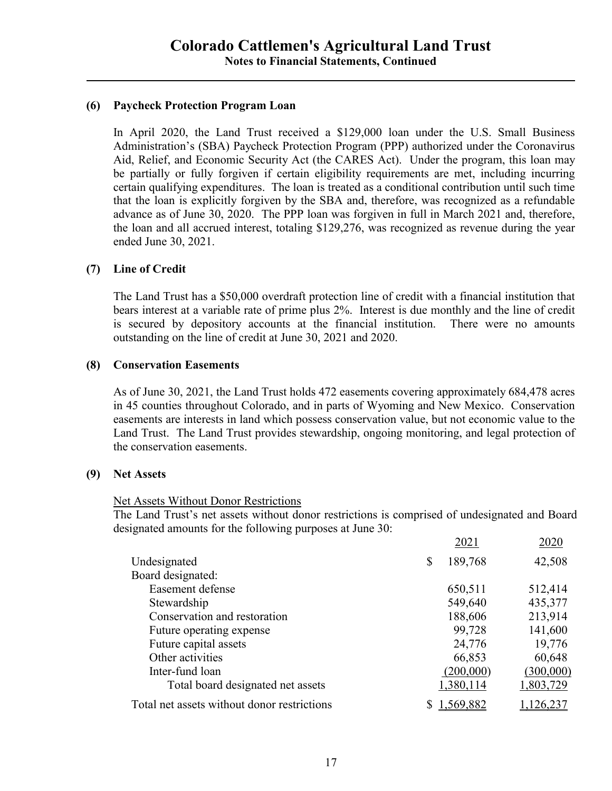#### **(6) Paycheck Protection Program Loan**

In April 2020, the Land Trust received a \$129,000 loan under the U.S. Small Business Administration's (SBA) Paycheck Protection Program (PPP) authorized under the Coronavirus Aid, Relief, and Economic Security Act (the CARES Act). Under the program, this loan may be partially or fully forgiven if certain eligibility requirements are met, including incurring certain qualifying expenditures. The loan is treated as a conditional contribution until such time that the loan is explicitly forgiven by the SBA and, therefore, was recognized as a refundable advance as of June 30, 2020. The PPP loan was forgiven in full in March 2021 and, therefore, the loan and all accrued interest, totaling \$129,276, was recognized as revenue during the year ended June 30, 2021.

#### **(7) Line of Credit**

The Land Trust has a \$50,000 overdraft protection line of credit with a financial institution that bears interest at a variable rate of prime plus 2%. Interest is due monthly and the line of credit is secured by depository accounts at the financial institution. There were no amounts outstanding on the line of credit at June 30, 2021 and 2020.

#### **(8) Conservation Easements**

As of June 30, 2021, the Land Trust holds 472 easements covering approximately 684,478 acres in 45 counties throughout Colorado, and in parts of Wyoming and New Mexico. Conservation easements are interests in land which possess conservation value, but not economic value to the Land Trust. The Land Trust provides stewardship, ongoing monitoring, and legal protection of the conservation easements.

#### **(9) Net Assets**

#### Net Assets Without Donor Restrictions

The Land Trust's net assets without donor restrictions is comprised of undesignated and Board designated amounts for the following purposes at June 30:

|                                             |   | 2021      | 2020      |
|---------------------------------------------|---|-----------|-----------|
| Undesignated                                | S | 189,768   | 42,508    |
| Board designated:                           |   |           |           |
| Easement defense                            |   | 650,511   | 512,414   |
| Stewardship                                 |   | 549,640   | 435,377   |
| Conservation and restoration                |   | 188,606   | 213,914   |
| Future operating expense                    |   | 99,728    | 141,600   |
| Future capital assets                       |   | 24,776    | 19,776    |
| Other activities                            |   | 66,853    | 60,648    |
| Inter-fund loan                             |   | (200,000) | (300,000) |
| Total board designated net assets           |   | 1,380,114 | 1,803,729 |
| Total net assets without donor restrictions |   |           |           |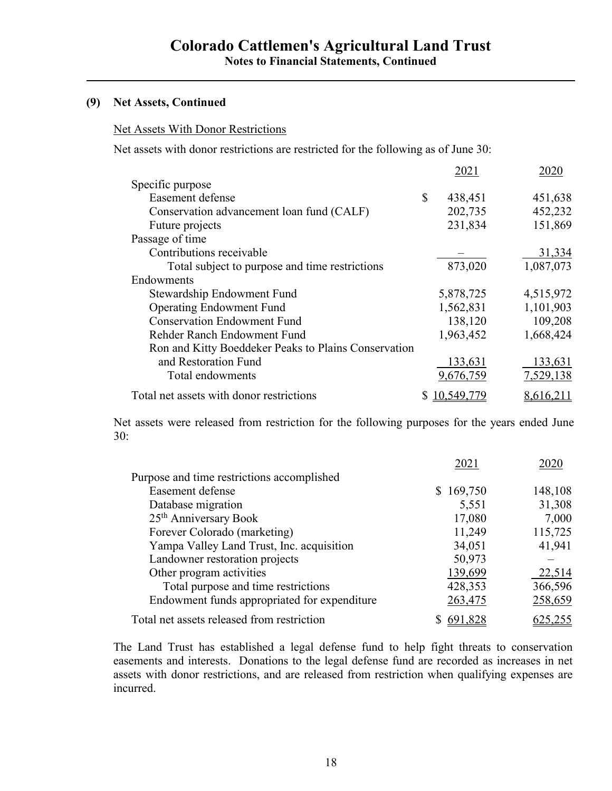#### Net Assets With Donor Restrictions

Net assets with donor restrictions are restricted for the following as of June 30:

|                                                      | 2021          | 2020      |
|------------------------------------------------------|---------------|-----------|
| Specific purpose                                     |               |           |
| Easement defense                                     | \$<br>438,451 | 451,638   |
| Conservation advancement loan fund (CALF)            | 202,735       | 452,232   |
| Future projects                                      | 231,834       | 151,869   |
| Passage of time                                      |               |           |
| Contributions receivable                             |               | 31,334    |
| Total subject to purpose and time restrictions       | 873,020       | 1,087,073 |
| Endowments                                           |               |           |
| Stewardship Endowment Fund                           | 5,878,725     | 4,515,972 |
| <b>Operating Endowment Fund</b>                      | 1,562,831     | 1,101,903 |
| <b>Conservation Endowment Fund</b>                   | 138,120       | 109,208   |
| Rehder Ranch Endowment Fund                          | 1,963,452     | 1,668,424 |
| Ron and Kitty Boeddeker Peaks to Plains Conservation |               |           |
| and Restoration Fund                                 | 133,631       | 133,631   |
| Total endowments                                     | 9,676,759     | 7,529,138 |
| Total net assets with donor restrictions             | 10,549,779    | 8,616,211 |

Net assets were released from restriction for the following purposes for the years ended June 30:

|                                              | 2021      | 2020    |
|----------------------------------------------|-----------|---------|
| Purpose and time restrictions accomplished   |           |         |
| Easement defense                             | \$169,750 | 148,108 |
| Database migration                           | 5,551     | 31,308  |
| 25 <sup>th</sup> Anniversary Book            | 17,080    | 7,000   |
| Forever Colorado (marketing)                 | 11,249    | 115,725 |
| Yampa Valley Land Trust, Inc. acquisition    | 34,051    | 41,941  |
| Landowner restoration projects               | 50,973    |         |
| Other program activities                     | 139,699   | 22,514  |
| Total purpose and time restrictions          | 428,353   | 366,596 |
| Endowment funds appropriated for expenditure | 263,475   | 258,659 |
| Total net assets released from restriction   |           | 625,255 |

The Land Trust has established a legal defense fund to help fight threats to conservation easements and interests. Donations to the legal defense fund are recorded as increases in net assets with donor restrictions, and are released from restriction when qualifying expenses are incurred.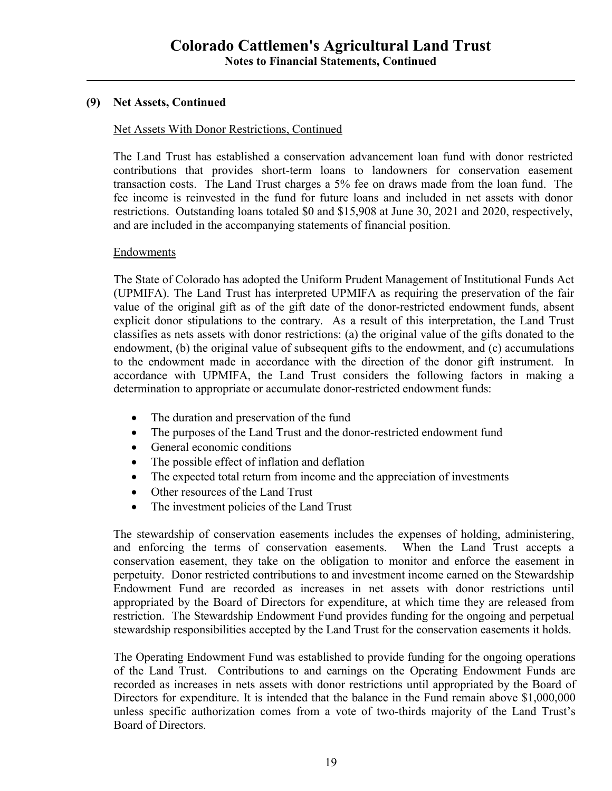### Net Assets With Donor Restrictions, Continued

The Land Trust has established a conservation advancement loan fund with donor restricted contributions that provides short-term loans to landowners for conservation easement transaction costs. The Land Trust charges a 5% fee on draws made from the loan fund. The fee income is reinvested in the fund for future loans and included in net assets with donor restrictions. Outstanding loans totaled \$0 and \$15,908 at June 30, 2021 and 2020, respectively, and are included in the accompanying statements of financial position.

#### **Endowments**

The State of Colorado has adopted the Uniform Prudent Management of Institutional Funds Act (UPMIFA). The Land Trust has interpreted UPMIFA as requiring the preservation of the fair value of the original gift as of the gift date of the donor-restricted endowment funds, absent explicit donor stipulations to the contrary. As a result of this interpretation, the Land Trust classifies as nets assets with donor restrictions: (a) the original value of the gifts donated to the endowment, (b) the original value of subsequent gifts to the endowment, and (c) accumulations to the endowment made in accordance with the direction of the donor gift instrument. In accordance with UPMIFA, the Land Trust considers the following factors in making a determination to appropriate or accumulate donor-restricted endowment funds:

- The duration and preservation of the fund
- The purposes of the Land Trust and the donor-restricted endowment fund
- General economic conditions
- The possible effect of inflation and deflation
- The expected total return from income and the appreciation of investments
- Other resources of the Land Trust
- The investment policies of the Land Trust

The stewardship of conservation easements includes the expenses of holding, administering, and enforcing the terms of conservation easements. When the Land Trust accepts a conservation easement, they take on the obligation to monitor and enforce the easement in perpetuity. Donor restricted contributions to and investment income earned on the Stewardship Endowment Fund are recorded as increases in net assets with donor restrictions until appropriated by the Board of Directors for expenditure, at which time they are released from restriction. The Stewardship Endowment Fund provides funding for the ongoing and perpetual stewardship responsibilities accepted by the Land Trust for the conservation easements it holds.

The Operating Endowment Fund was established to provide funding for the ongoing operations of the Land Trust. Contributions to and earnings on the Operating Endowment Funds are recorded as increases in nets assets with donor restrictions until appropriated by the Board of Directors for expenditure. It is intended that the balance in the Fund remain above \$1,000,000 unless specific authorization comes from a vote of two-thirds majority of the Land Trust's Board of Directors.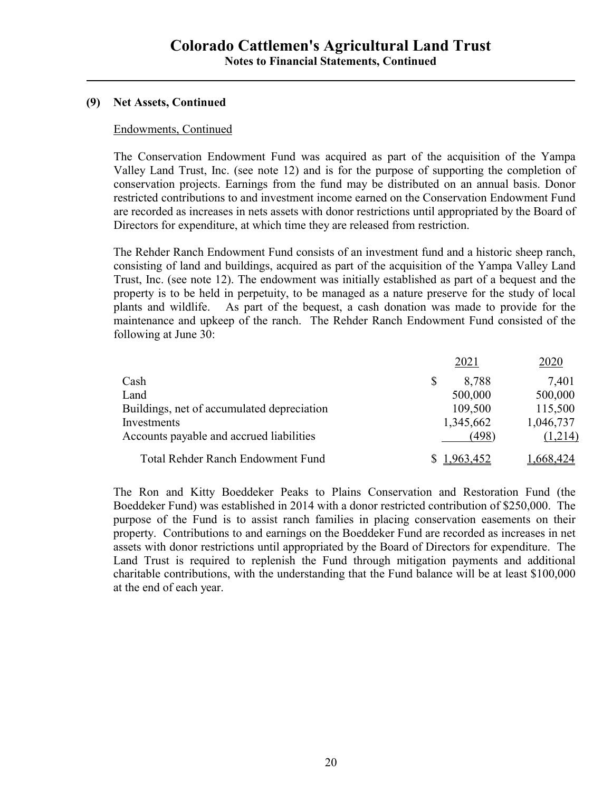#### Endowments, Continued

The Conservation Endowment Fund was acquired as part of the acquisition of the Yampa Valley Land Trust, Inc. (see note 12) and is for the purpose of supporting the completion of conservation projects. Earnings from the fund may be distributed on an annual basis. Donor restricted contributions to and investment income earned on the Conservation Endowment Fund are recorded as increases in nets assets with donor restrictions until appropriated by the Board of Directors for expenditure, at which time they are released from restriction.

The Rehder Ranch Endowment Fund consists of an investment fund and a historic sheep ranch, consisting of land and buildings, acquired as part of the acquisition of the Yampa Valley Land Trust, Inc. (see note 12). The endowment was initially established as part of a bequest and the property is to be held in perpetuity, to be managed as a nature preserve for the study of local plants and wildlife. As part of the bequest, a cash donation was made to provide for the maintenance and upkeep of the ranch. The Rehder Ranch Endowment Fund consisted of the following at June 30:

|                                            | 2021      | 2020      |
|--------------------------------------------|-----------|-----------|
| Cash                                       | 8,788     | 7,401     |
| Land                                       | 500,000   | 500,000   |
| Buildings, net of accumulated depreciation | 109,500   | 115,500   |
| Investments                                | 1,345,662 | 1,046,737 |
| Accounts payable and accrued liabilities   | (498)     | (1,214)   |
| <b>Total Rehder Ranch Endowment Fund</b>   | 1,963,452 | 1,668,424 |

The Ron and Kitty Boeddeker Peaks to Plains Conservation and Restoration Fund (the Boeddeker Fund) was established in 2014 with a donor restricted contribution of \$250,000. The purpose of the Fund is to assist ranch families in placing conservation easements on their property. Contributions to and earnings on the Boeddeker Fund are recorded as increases in net assets with donor restrictions until appropriated by the Board of Directors for expenditure. The Land Trust is required to replenish the Fund through mitigation payments and additional charitable contributions, with the understanding that the Fund balance will be at least \$100,000 at the end of each year.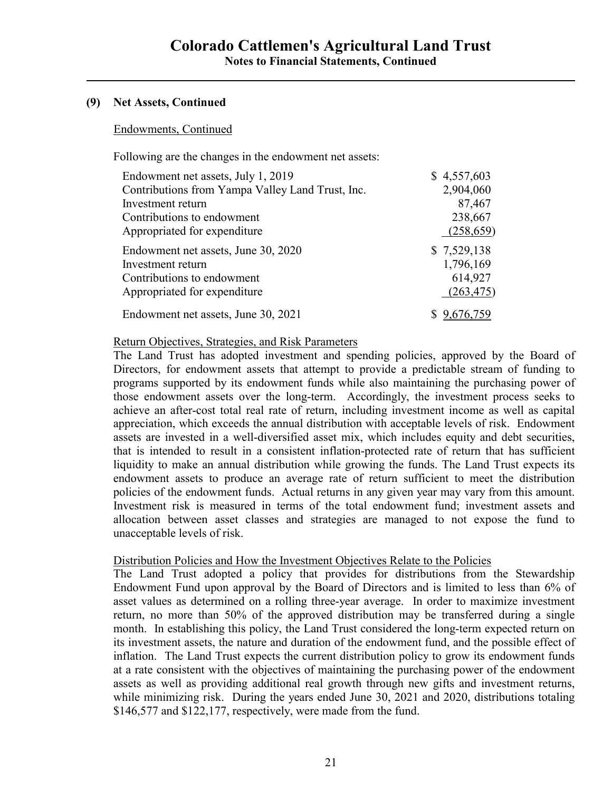#### Endowments, Continued

Following are the changes in the endowment net assets:

| Endowment net assets, July 1, 2019               | \$4,557,603 |
|--------------------------------------------------|-------------|
| Contributions from Yampa Valley Land Trust, Inc. | 2,904,060   |
| Investment return                                | 87,467      |
| Contributions to endowment                       | 238,667     |
| Appropriated for expenditure                     | (258, 659)  |
| Endowment net assets, June 30, 2020              | \$7,529,138 |
| Investment return                                | 1,796,169   |
| Contributions to endowment                       | 614,927     |
| Appropriated for expenditure                     | (263, 475)  |
| Endowment net assets, June 30, 2021              | \$9,676,    |

#### Return Objectives, Strategies, and Risk Parameters

The Land Trust has adopted investment and spending policies, approved by the Board of Directors, for endowment assets that attempt to provide a predictable stream of funding to programs supported by its endowment funds while also maintaining the purchasing power of those endowment assets over the long-term. Accordingly, the investment process seeks to achieve an after-cost total real rate of return, including investment income as well as capital appreciation, which exceeds the annual distribution with acceptable levels of risk. Endowment assets are invested in a well-diversified asset mix, which includes equity and debt securities, that is intended to result in a consistent inflation-protected rate of return that has sufficient liquidity to make an annual distribution while growing the funds. The Land Trust expects its endowment assets to produce an average rate of return sufficient to meet the distribution policies of the endowment funds. Actual returns in any given year may vary from this amount. Investment risk is measured in terms of the total endowment fund; investment assets and allocation between asset classes and strategies are managed to not expose the fund to unacceptable levels of risk.

#### Distribution Policies and How the Investment Objectives Relate to the Policies

The Land Trust adopted a policy that provides for distributions from the Stewardship Endowment Fund upon approval by the Board of Directors and is limited to less than 6% of asset values as determined on a rolling three-year average. In order to maximize investment return, no more than 50% of the approved distribution may be transferred during a single month. In establishing this policy, the Land Trust considered the long-term expected return on its investment assets, the nature and duration of the endowment fund, and the possible effect of inflation. The Land Trust expects the current distribution policy to grow its endowment funds at a rate consistent with the objectives of maintaining the purchasing power of the endowment assets as well as providing additional real growth through new gifts and investment returns, while minimizing risk. During the years ended June 30, 2021 and 2020, distributions totaling \$146,577 and \$122,177, respectively, were made from the fund.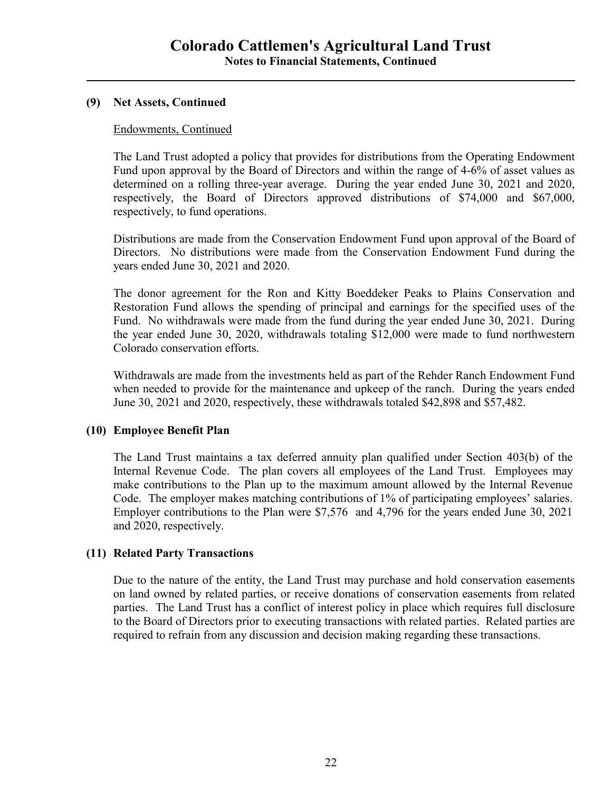#### Endowments, Continued

The Land Trust adopted a policy that provides for distributions from the Operating Endowment Fund upon approval by the Board of Directors and within the range of 4-6% of asset values as determined on a rolling three-year average. During the year ended June 30, 2021 and 2020, respectively, the Board of Directors approved distributions of \$74,000 and \$67,000, respectively, to fund operations.

Distributions are made from the Conservation Endowment Fund upon approval of the Board of Directors. No distributions were made from the Conservation Endowment Fund during the years ended June 30, 2021 and 2020.

The donor agreement for the Ron and Kitty Boeddeker Peaks to Plains Conservation and Restoration Fund allows the spending of principal and earnings for the specified uses of the Fund. No withdrawals were made from the fund during the year ended June 30, 2021. During the year ended June 30, 2020, withdrawals totaling \$12,000 were made to fund northwestern Colorado conservation efforts.

Withdrawals are made from the investments held as part of the Rehder Ranch Endowment Fund when needed to provide for the maintenance and upkeep of the ranch. During the years ended June 30, 2021 and 2020, respectively, these withdrawals totaled \$42,898 and \$57,482.

#### **(10) Employee Benefit Plan**

The Land Trust maintains a tax deferred annuity plan qualified under Section 403(b) of the Internal Revenue Code. The plan covers all employees of the Land Trust. Employees may make contributions to the Plan up to the maximum amount allowed by the Internal Revenue Code. The employer makes matching contributions of 1% of participating employees' salaries. Employer contributions to the Plan were \$7,576 and 4,796 for the years ended June 30, 2021 and 2020, respectively.

#### **(11) Related Party Transactions**

Due to the nature of the entity, the Land Trust may purchase and hold conservation easements on land owned by related parties, or receive donations of conservation easements from related parties. The Land Trust has a conflict of interest policy in place which requires full disclosure to the Board of Directors prior to executing transactions with related parties. Related parties are required to refrain from any discussion and decision making regarding these transactions.